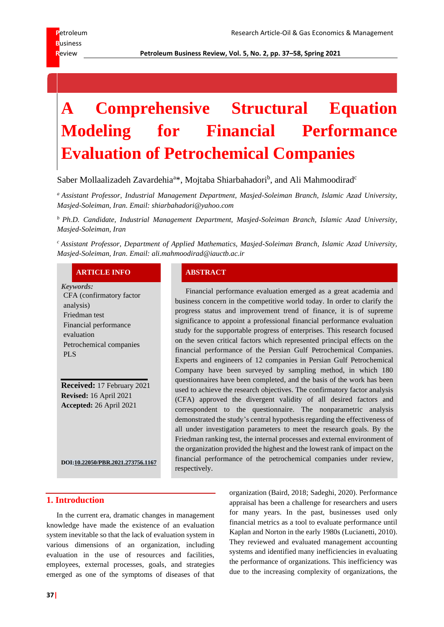**R**eview **Petroleum Business Review, Vol. 5, No. 2, pp. 37–58, Spring 2021**

# **A Comprehensive Structural Equation Modeling for Financial Performance Evaluation of Petrochemical Companies**

Saber Mollaalizadeh Zavardehia<sup>a\*</sup>, Mojtaba Shiarbahadori<sup>b</sup>, and Ali Mahmoodirad<sup>c</sup>

*<sup>a</sup> Assistant Professor, Industrial Management Department, Masjed-Soleiman Branch, Islamic Azad University, Masjed-Soleiman, Iran. Email: shiarbahadori@yahoo.com*

*<sup>b</sup> Ph.D. Candidate, Industrial Management Department, Masjed-Soleiman Branch, Islamic Azad University, Masjed-Soleiman, Iran*

*<sup>c</sup> Assistant Professor, Department of Applied Mathematics, Masjed-Soleiman Branch, Islamic Azad University, Masjed-Soleiman, Iran. Email: ali.mahmoodirad@iauctb.ac.ir*

# **ARTICLE INFO ABSTRACT**

*Keywords:* CFA (confirmatory factor analysis) Friedman test Financial performance evaluation Petrochemical companies PLS

**Received:** 17 February 2021 **Revised:** 16 April 2021 **Accepted:** 26 April 2021

**DO[I:10.22050/PBR.2021.273756.1167](https://dx.doi.org/10.22050/pbr.2021.273756.1167)**

Financial performance evaluation emerged as a great academia and business concern in the competitive world today. In order to clarify the progress status and improvement trend of finance, it is of supreme significance to appoint a professional financial performance evaluation study for the supportable progress of enterprises. This research focused on the seven critical factors which represented principal effects on the financial performance of the Persian Gulf Petrochemical Companies. Experts and engineers of 12 companies in Persian Gulf Petrochemical Company have been surveyed by sampling method, in which 180 questionnaires have been completed, and the basis of the work has been used to achieve the research objectives. The confirmatory factor analysis (CFA) approved the divergent validity of all desired factors and correspondent to the questionnaire. The nonparametric analysis demonstrated the study's central hypothesis regarding the effectiveness of all under investigation parameters to meet the research goals. By the Friedman ranking test, the internal processes and external environment of the organization provided the highest and the lowest rank of impact on the financial performance of the petrochemical companies under review, respectively.

# **1. Introduction**

In the current era, dramatic changes in management knowledge have made the existence of an evaluation system inevitable so that the lack of evaluation system in various dimensions of an organization, including evaluation in the use of resources and facilities, employees, external processes, goals, and strategies emerged as one of the symptoms of diseases of that organization (Baird, 2018; Sadeghi, 2020). Performance appraisal has been a challenge for researchers and users for many years. In the past, businesses used only financial metrics as a tool to evaluate performance until Kaplan and Norton in the early 1980s (Lucianetti, 2010). They reviewed and evaluated management accounting systems and identified many inefficiencies in evaluating the performance of organizations. This inefficiency was due to the increasing complexity of organizations, the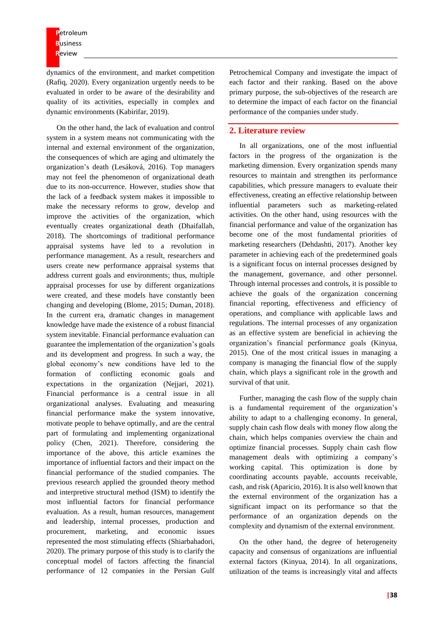**P**etroleum **B**usiness **R**eview

dynamics of the environment, and market competition (Rafiq, 2020). Every organization urgently needs to be evaluated in order to be aware of the desirability and quality of its activities, especially in complex and dynamic environments (Kabirifar, 2019).

On the other hand, the lack of evaluation and control system in a system means not communicating with the internal and external environment of the organization, the consequences of which are aging and ultimately the organization's death (Lesáková, 2016). Top managers may not feel the phenomenon of organizational death due to its non-occurrence. However, studies show that the lack of a feedback system makes it impossible to make the necessary reforms to grow, develop and improve the activities of the organization, which eventually creates organizational death (Dhaifallah, 2018). The shortcomings of traditional performance appraisal systems have led to a revolution in performance management. As a result, researchers and users create new performance appraisal systems that address current goals and environments; thus, multiple appraisal processes for use by different organizations were created, and these models have constantly been changing and developing (Blome, 2015; Duman, 2018). In the current era, dramatic changes in management knowledge have made the existence of a robust financial system inevitable. Financial performance evaluation can guarantee the implementation of the organization's goals and its development and progress. In such a way, the global economy's new conditions have led to the formation of conflicting economic goals and expectations in the organization (Nejjari, 2021). Financial performance is a central issue in all organizational analyses. Evaluating and measuring financial performance make the system innovative, motivate people to behave optimally, and are the central part of formulating and implementing organizational policy (Chen, 2021). Therefore, considering the importance of the above, this article examines the importance of influential factors and their impact on the financial performance of the studied companies. The previous research applied the grounded theory method and interpretive structural method (ISM) to identify the most influential factors for financial performance evaluation. As a result, human resources, management and leadership, internal processes, production and procurement, marketing, and economic issues represented the most stimulating effects (Shiarbahadori, 2020). The primary purpose of this study is to clarify the conceptual model of factors affecting the financial performance of 12 companies in the Persian Gulf

Petrochemical Company and investigate the impact of each factor and their ranking. Based on the above primary purpose, the sub-objectives of the research are to determine the impact of each factor on the financial performance of the companies under study.

# **2. Literature review**

In all organizations, one of the most influential factors in the progress of the organization is the marketing dimension. Every organization spends many resources to maintain and strengthen its performance capabilities, which pressure managers to evaluate their effectiveness, creating an effective relationship between influential parameters such as marketing-related activities. On the other hand, using resources with the financial performance and value of the organization has become one of the most fundamental priorities of marketing researchers (Dehdashti, 2017). Another key parameter in achieving each of the predetermined goals is a significant focus on internal processes designed by the management, governance, and other personnel. Through internal processes and controls, it is possible to achieve the goals of the organization concerning financial reporting, effectiveness and efficiency of operations, and compliance with applicable laws and regulations. The internal processes of any organization as an effective system are beneficial in achieving the organization's financial performance goals (Kinyua, 2015). One of the most critical issues in managing a company is managing the financial flow of the supply chain, which plays a significant role in the growth and survival of that unit.

Further, managing the cash flow of the supply chain is a fundamental requirement of the organization's ability to adapt to a challenging economy. In general, supply chain cash flow deals with money flow along the chain, which helps companies overview the chain and optimize financial processes. Supply chain cash flow management deals with optimizing a company's working capital. This optimization is done by coordinating accounts payable, accounts receivable, cash, and risk (Aparicio, 2016). It is also well known that the external environment of the organization has a significant impact on its performance so that the performance of an organization depends on the complexity and dynamism of the external environment.

On the other hand, the degree of heterogeneity capacity and consensus of organizations are influential external factors (Kinyua, 2014). In all organizations, utilization of the teams is increasingly vital and affects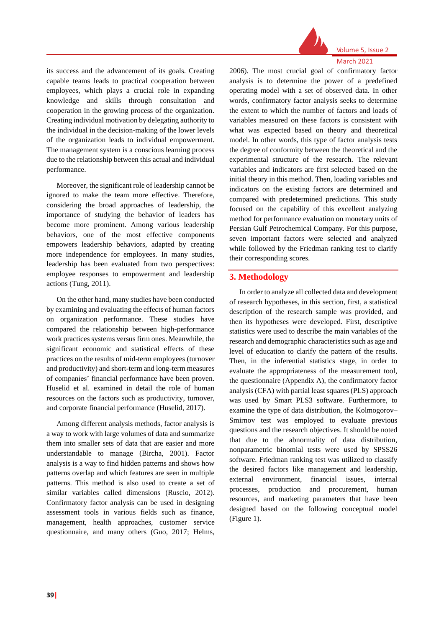

Volume 5, Issue 2 March 2021

its success and the advancement of its goals. Creating capable teams leads to practical cooperation between employees, which plays a crucial role in expanding knowledge and skills through consultation and cooperation in the growing process of the organization. Creating individual motivation by delegating authority to the individual in the decision-making of the lower levels of the organization leads to individual empowerment. The management system is a conscious learning process due to the relationship between this actual and individual performance.

Moreover, the significant role of leadership cannot be ignored to make the team more effective. Therefore, considering the broad approaches of leadership, the importance of studying the behavior of leaders has become more prominent. Among various leadership behaviors, one of the most effective components empowers leadership behaviors, adapted by creating more independence for employees. In many studies, leadership has been evaluated from two perspectives: employee responses to empowerment and leadership actions (Tung, 2011).

On the other hand, many studies have been conducted by examining and evaluating the effects of human factors on organization performance. These studies have compared the relationship between high-performance work practices systems versus firm ones. Meanwhile, the significant economic and statistical effects of these practices on the results of mid-term employees (turnover and productivity) and short-term and long-term measures of companies' financial performance have been proven. Huselid et al. examined in detail the role of human resources on the factors such as productivity, turnover, and corporate financial performance (Huselid, 2017).

Among different analysis methods, factor analysis is a way to work with large volumes of data and summarize them into smaller sets of data that are easier and more understandable to manage (Bircha, 2001). Factor analysis is a way to find hidden patterns and shows how patterns overlap and which features are seen in multiple patterns. This method is also used to create a set of similar variables called dimensions (Ruscio, 2012). Confirmatory factor analysis can be used in designing assessment tools in various fields such as finance, management, health approaches, customer service questionnaire, and many others (Guo, 2017; Helms,

2006). The most crucial goal of confirmatory factor analysis is to determine the power of a predefined operating model with a set of observed data. In other words, confirmatory factor analysis seeks to determine the extent to which the number of factors and loads of variables measured on these factors is consistent with what was expected based on theory and theoretical model. In other words, this type of factor analysis tests the degree of conformity between the theoretical and the experimental structure of the research. The relevant variables and indicators are first selected based on the initial theory in this method. Then, loading variables and indicators on the existing factors are determined and compared with predetermined predictions. This study focused on the capability of this excellent analyzing method for performance evaluation on monetary units of Persian Gulf Petrochemical Company. For this purpose, seven important factors were selected and analyzed while followed by the Friedman ranking test to clarify their corresponding scores.

# **3. Methodology**

In order to analyze all collected data and development of research hypotheses, in this section, first, a statistical description of the research sample was provided, and then its hypotheses were developed. First, descriptive statistics were used to describe the main variables of the research and demographic characteristics such as age and level of education to clarify the pattern of the results. Then, in the inferential statistics stage, in order to evaluate the appropriateness of the measurement tool, the questionnaire (Appendix A), the confirmatory factor analysis (CFA) with partial least squares (PLS) approach was used by Smart PLS3 software. Furthermore, to examine the type of data distribution, the Kolmogorov– Smirnov test was employed to evaluate previous questions and the research objectives. It should be noted that due to the abnormality of data distribution, nonparametric binomial tests were used by SPSS26 software. Friedman ranking test was utilized to classify the desired factors like management and leadership, external environment, financial issues, internal processes, production and procurement, human resources, and marketing parameters that have been designed based on the following conceptual model (Figure 1).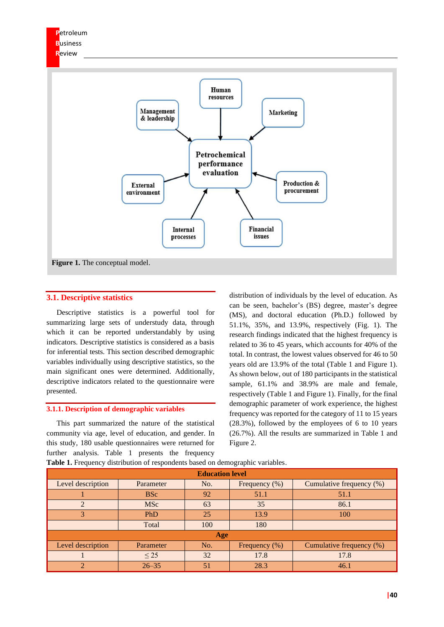

# **3.1. Descriptive statistics**

Descriptive statistics is a powerful tool for summarizing large sets of understudy data, through which it can be reported understandably by using indicators. Descriptive statistics is considered as a basis for inferential tests. This section described demographic variables individually using descriptive statistics, so the main significant ones were determined. Additionally, descriptive indicators related to the questionnaire were presented.

#### **3.1.1. Description of demographic variables**

This part summarized the nature of the statistical community via age, level of education, and gender. In this study, 180 usable questionnaires were returned for further analysis. Table 1 presents the frequency

distribution of individuals by the level of education. As can be seen, bachelor's (BS) degree, master's degree (MS), and doctoral education (Ph.D.) followed by 51.1%, 35%, and 13.9%, respectively (Fig. 1). The research findings indicated that the highest frequency is related to 36 to 45 years, which accounts for 40% of the total. In contrast, the lowest values observed for 46 to 50 years old are 13.9% of the total (Table 1 and Figure 1). As shown below, out of 180 participants in the statistical sample, 61.1% and 38.9% are male and female, respectively (Table 1 and Figure 1). Finally, for the final demographic parameter of work experience, the highest frequency was reported for the category of 11 to 15 years (28.3%), followed by the employees of 6 to 10 years (26.7%). All the results are summarized in Table 1 and Figure 2.

| <b>Education level</b> |            |     |                  |                          |  |  |  |  |
|------------------------|------------|-----|------------------|--------------------------|--|--|--|--|
| Level description      | Parameter  | No. | Frequency (%)    | Cumulative frequency (%) |  |  |  |  |
|                        | <b>BSc</b> | 92  | 51.1             | 51.1                     |  |  |  |  |
| $\mathfrak{D}$         | <b>MSc</b> | 63  | 35               | 86.1                     |  |  |  |  |
| 3                      | PhD        | 25  | 13.9             | 100                      |  |  |  |  |
|                        | Total      | 100 | 180              |                          |  |  |  |  |
|                        |            | Age |                  |                          |  |  |  |  |
| Level description      | Parameter  | No. | Frequency $(\%)$ | Cumulative frequency (%) |  |  |  |  |
|                        | $\leq$ 25  | 32  | 17.8             | 17.8                     |  |  |  |  |
| ◠                      | $26 - 35$  | 51  | 28.3             | 46.1                     |  |  |  |  |

Table 1. Frequency distribution of respondents based on demographic variables.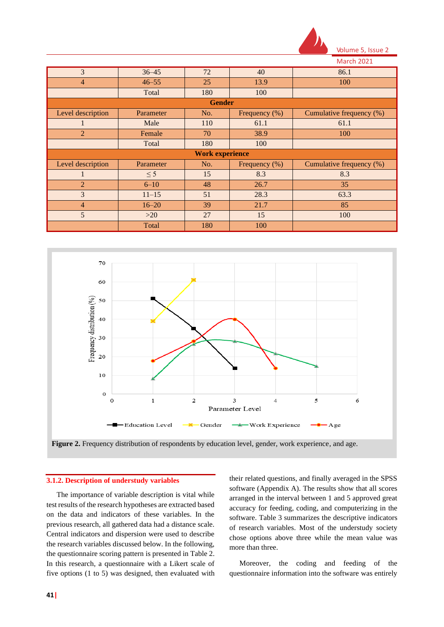

|  | <b>March 2021</b> |  |
|--|-------------------|--|
|  |                   |  |

| 3                 | $36 - 45$ | 72                     | 40               | 86.1                     |
|-------------------|-----------|------------------------|------------------|--------------------------|
| $\overline{4}$    | $46 - 55$ | 25                     | 13.9             | 100                      |
|                   | Total     | 180                    | 100              |                          |
|                   |           | <b>Gender</b>          |                  |                          |
| Level description | Parameter | No.                    | Frequency (%)    | Cumulative frequency (%) |
|                   | Male      | 110                    | 61.1             | 61.1                     |
| $\overline{2}$    | Female    | 70                     | 38.9             | 100                      |
|                   | Total     | 180                    | 100              |                          |
|                   |           | <b>Work experience</b> |                  |                          |
| Level description | Parameter | No.                    | Frequency $(\%)$ | Cumulative frequency (%) |
|                   | $\leq$ 5  | 15                     | 8.3              | 8.3                      |
| $\overline{2}$    | $6 - 10$  | 48                     | 26.7             | 35                       |
| 3                 | $11 - 15$ | 51                     | 28.3             | 63.3                     |
| $\overline{4}$    | $16 - 20$ | 39                     | 21.7             | 85                       |
| 5                 | >20       | 27                     | 15               | 100                      |
|                   | Total     | 180                    | 100              |                          |



#### **3.1.2. Description of understudy variables**

The importance of variable description is vital while test results of the research hypotheses are extracted based on the data and indicators of these variables. In the previous research, all gathered data had a distance scale. Central indicators and dispersion were used to describe the research variables discussed below. In the following, the questionnaire scoring pattern is presented in Table 2. In this research, a questionnaire with a Likert scale of five options (1 to 5) was designed, then evaluated with

their related questions, and finally averaged in the SPSS software (Appendix A). The results show that all scores arranged in the interval between 1 and 5 approved great accuracy for feeding, coding, and computerizing in the software. Table 3 summarizes the descriptive indicators of research variables. Most of the understudy society chose options above three while the mean value was more than three.

Moreover, the coding and feeding of the questionnaire information into the software was entirely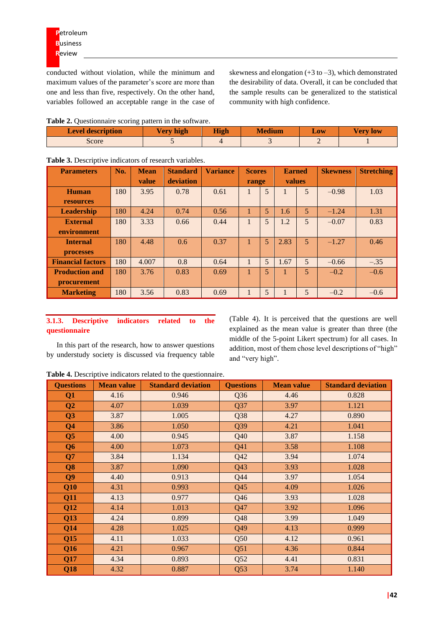conducted without violation, while the minimum and maximum values of the parameter's score are more than one and less than five, respectively. On the other hand, variables followed an acceptable range in the case of skewness and elongation  $(+3 \text{ to } -3)$ , which demonstrated the desirability of data. Overall, it can be concluded that the sample results can be generalized to the statistical community with high confidence.

**Table 2.** Questionnaire scoring pattern in the software.

| <b>Level description</b> | Very high | <b>High</b> | <b>Medium</b> | Low | Verv low |
|--------------------------|-----------|-------------|---------------|-----|----------|
| Score                    |           |             |               |     |          |

| <b>Parameters</b>        | No. | <b>Mean</b> | <b>Standard</b> | <b>Variance</b> | <b>Scores</b> |                | <b>Earned</b> |                | <b>Skewness</b> | <b>Stretching</b> |
|--------------------------|-----|-------------|-----------------|-----------------|---------------|----------------|---------------|----------------|-----------------|-------------------|
|                          |     | value       | deviation       |                 | range         |                | values        |                |                 |                   |
| <b>Human</b>             | 180 | 3.95        | 0.78            | 0.61            |               | $\overline{5}$ |               | 5              | $-0.98$         | 1.03              |
| <b>resources</b>         |     |             |                 |                 |               |                |               |                |                 |                   |
| <b>Leadership</b>        | 180 | 4.24        | 0.74            | 0.56            |               | 5              | 1.6           | $\overline{5}$ | $-1.24$         | 1.31              |
| <b>External</b>          | 180 | 3.33        | 0.66            | 0.44            |               | $\overline{5}$ | 1.2           | 5              | $-0.07$         | 0.83              |
| environment              |     |             |                 |                 |               |                |               |                |                 |                   |
| <b>Internal</b>          | 180 | 4.48        | 0.6             | 0.37            |               | 5 <sup>5</sup> | 2.83          | 5              | $-1.27$         | 0.46              |
| <b>processes</b>         |     |             |                 |                 |               |                |               |                |                 |                   |
| <b>Financial factors</b> | 180 | 4.007       | 0.8             | 0.64            |               | 5              | 1.67          | 5              | $-0.66$         | $-.35$            |
| <b>Production and</b>    | 180 | 3.76        | 0.83            | 0.69            |               | $\overline{5}$ |               | $\overline{5}$ | $-0.2$          | $-0.6$            |
| procurement              |     |             |                 |                 |               |                |               |                |                 |                   |
| <b>Marketing</b>         | 180 | 3.56        | 0.83            | 0.69            |               | $\overline{5}$ |               | 5              | $-0.2$          | $-0.6$            |

**Table 3.** Descriptive indicators of research variables.

# **3.1.3. Descriptive indicators related to the questionnaire**

In this part of the research, how to answer questions by understudy society is discussed via frequency table (Table 4). It is perceived that the questions are well explained as the mean value is greater than three (the middle of the 5-point Likert spectrum) for all cases. In addition, most of them chose level descriptions of "high" and "very high".

**Table 4.** Descriptive indicators related to the questionnaire.

| <b>Questions</b> | <b>Mean value</b> | <b>Standard deviation</b> | <b>Questions</b> | <b>Mean value</b> | <b>Standard deviation</b> |
|------------------|-------------------|---------------------------|------------------|-------------------|---------------------------|
| Q1               | 4.16              | 0.946                     | Q <sub>36</sub>  | 4.46              | 0.828                     |
| Q <sub>2</sub>   | 4.07              | 1.039                     | Q37              | 3.97              | 1.121                     |
| Q3               | 3.87              | 1.005                     | Q38              | 4.27              | 0.890                     |
| Q <sub>4</sub>   | 3.86              | 1.050                     | Q39              | 4.21              | 1.041                     |
| Q <sub>5</sub>   | 4.00              | 0.945                     | Q40              | 3.87              | 1.158                     |
| Q <sub>6</sub>   | 4.00              | 1.073                     | Q41              | 3.58              | 1.108                     |
| Q7               | 3.84              | 1.134                     | Q42              | 3.94              | 1.074                     |
| Q <sub>8</sub>   | 3.87              | 1.090                     | Q43              | 3.93              | 1.028                     |
| Q <sub>9</sub>   | 4.40              | 0.913                     | Q44              | 3.97              | 1.054                     |
| Q10              | 4.31              | 0.993                     | Q45              | 4.09              | 1.026                     |
| Q11              | 4.13              | 0.977                     | Q46              | 3.93              | 1.028                     |
| Q12              | 4.14              | 1.013                     | Q47              | 3.92              | 1.096                     |
| Q13              | 4.24              | 0.899                     | Q48              | 3.99              | 1.049                     |
| Q14              | 4.28              | 1.025                     | Q49              | 4.13              | 0.999                     |
| Q15              | 4.11              | 1.033                     | Q50              | 4.12              | 0.961                     |
| Q16              | 4.21              | 0.967                     | Q51              | 4.36              | 0.844                     |
| Q17              | 4.34              | 0.893                     | Q52              | 4.41              | 0.831                     |
| Q18              | 4.32              | 0.887                     | Q53              | 3.74              | 1.140                     |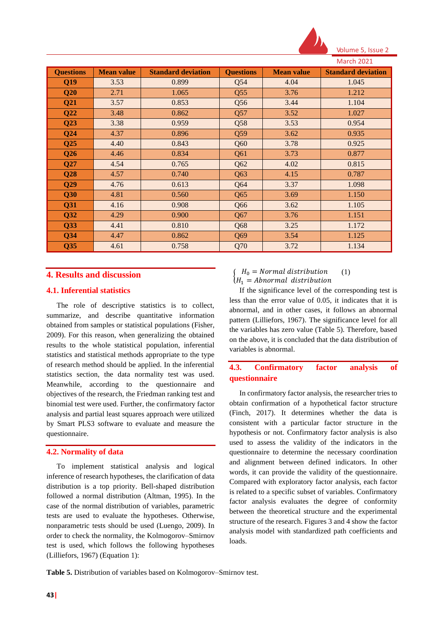

Volume 5, Issue 2

|                  |                   |                           |                  |                   | <b>March 2021</b>         |
|------------------|-------------------|---------------------------|------------------|-------------------|---------------------------|
| <b>Questions</b> | <b>Mean value</b> | <b>Standard deviation</b> | <b>Questions</b> | <b>Mean value</b> | <b>Standard deviation</b> |
| Q19              | 3.53              | 0.899                     | Q54              | 4.04              | 1.045                     |
| Q20              | 2.71              | 1.065                     | Q55              | 3.76              | 1.212                     |
| Q <sub>21</sub>  | 3.57              | 0.853                     | Q56              | 3.44              | 1.104                     |
| Q22              | 3.48              | 0.862                     | Q57              | 3.52              | 1.027                     |
| Q23              | 3.38              | 0.959                     | Q58              | 3.53              | 0.954                     |
| Q24              | 4.37              | 0.896                     | Q59              | 3.62              | 0.935                     |
| Q25              | 4.40              | 0.843                     | Q60              | 3.78              | 0.925                     |
| Q <sub>26</sub>  | 4.46              | 0.834                     | Q61              | 3.73              | 0.877                     |
| Q27              | 4.54              | 0.765                     | Q62              | 4.02              | 0.815                     |
| Q28              | 4.57              | 0.740                     | Q63              | 4.15              | 0.787                     |
| Q29              | 4.76              | 0.613                     | Q64              | 3.37              | 1.098                     |
| Q30              | 4.81              | 0.560                     | Q65              | 3.69              | 1.150                     |
| Q31              | 4.16              | 0.908                     | Q66              | 3.62              | 1.105                     |
| Q <sub>32</sub>  | 4.29              | 0.900                     | Q67              | 3.76              | 1.151                     |
| Q <sub>33</sub>  | 4.41              | 0.810                     | Q68              | 3.25              | 1.172                     |
| Q34              | 4.47              | 0.862                     | Q69              | 3.54              | 1.125                     |
| Q <sub>35</sub>  | 4.61              | 0.758                     | Q70              | 3.72              | 1.134                     |

# **4. Results and discussion**

# **4.1. Inferential statistics**

The role of descriptive statistics is to collect, summarize, and describe quantitative information obtained from samples or statistical populations (Fisher, 2009). For this reason, when generalizing the obtained results to the whole statistical population, inferential statistics and statistical methods appropriate to the type of research method should be applied. In the inferential statistics section, the data normality test was used. Meanwhile, according to the questionnaire and objectives of the research, the Friedman ranking test and binomial test were used. Further, the confirmatory factor analysis and partial least squares approach were utilized by Smart PLS3 software to evaluate and measure the questionnaire.

### **4.2. Normality of data**

To implement statistical analysis and logical inference of research hypotheses, the clarification of data distribution is a top priority. Bell-shaped distribution followed a normal distribution (Altman, 1995). In the case of the normal distribution of variables, parametric tests are used to evaluate the hypotheses. Otherwise, nonparametric tests should be used (Luengo, 2009). In order to check the normality, the Kolmogorov–Smirnov test is used, which follows the following hypotheses (Lilliefors, 1967) (Equation 1):

 ${1 \choose H_1}$  = Abnormal distribution  $\int H_0 = Normal distribution$ (1)

If the significance level of the corresponding test is less than the error value of 0.05, it indicates that it is abnormal, and in other cases, it follows an abnormal pattern (Lilliefors, 1967). The significance level for all the variables has zero value (Table 5). Therefore, based on the above, it is concluded that the data distribution of variables is abnormal.

# **4.3. Confirmatory factor analysis of questionnaire**

In confirmatory factor analysis, the researcher tries to obtain confirmation of a hypothetical factor structure (Finch, 2017). It determines whether the data is consistent with a particular factor structure in the hypothesis or not. Confirmatory factor analysis is also used to assess the validity of the indicators in the questionnaire to determine the necessary coordination and alignment between defined indicators. In other words, it can provide the validity of the questionnaire. Compared with exploratory factor analysis, each factor is related to a specific subset of variables. Confirmatory factor analysis evaluates the degree of conformity between the theoretical structure and the experimental structure of the research. Figures 3 and 4 show the factor analysis model with standardized path coefficients and loads.

**Table 5.** Distribution of variables based on Kolmogorov–Smirnov test.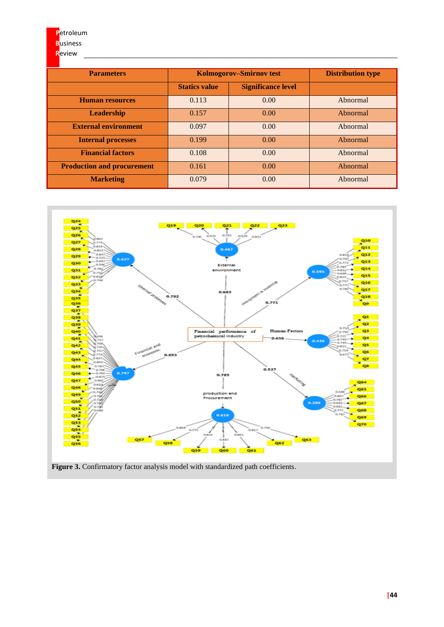**R**eview

# **Parameters Kolmogorov–Smirnov test Distribution type Statics value Significance level Human resources** 1 0.113 0.00 Abnormal **Leadership** 0.157 0.00 Abnormal **External environment** 0.097 0.00 Abnormal **Internal processes** 1 0.199 0.00 Abnormal **Financial factors** 0.108 0.00 Abnormal **Production and procurement** 0.161 0.00 Abnormal **Marketing** 1 0.079 0.00 Abnormal

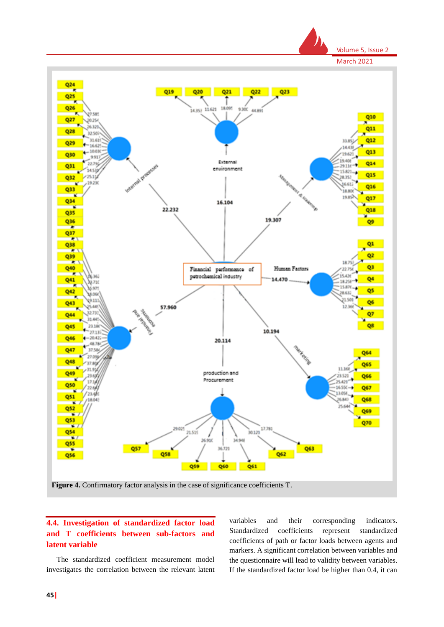

# **4.4. Investigation of standardized factor load and T coefficients between sub-factors and latent variable**

The standardized coefficient measurement model investigates the correlation between the relevant latent

variables and their corresponding indicators. Standardized coefficients represent standardized coefficients of path or factor loads between agents and markers. A significant correlation between variables and the questionnaire will lead to validity between variables. If the standardized factor load be higher than 0.4, it can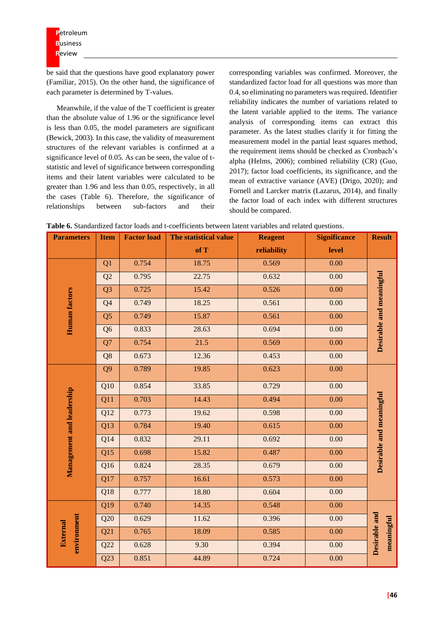be said that the questions have good explanatory power (Familiar, 2015). On the other hand, the significance of each parameter is determined by T-values.

Meanwhile, if the value of the T coefficient is greater than the absolute value of 1.96 or the significance level is less than 0.05, the model parameters are significant (Bewick, 2003). In this case, the validity of measurement structures of the relevant variables is confirmed at a significance level of 0.05. As can be seen, the value of tstatistic and level of significance between corresponding items and their latent variables were calculated to be greater than 1.96 and less than 0.05, respectively, in all the cases (Table 6). Therefore, the significance of relationships between sub-factors and their

corresponding variables was confirmed. Moreover, the standardized factor load for all questions was more than 0.4, so eliminating no parameters was required. Identifier reliability indicates the number of variations related to the latent variable applied to the items. The variance analysis of corresponding items can extract this parameter. As the latest studies clarify it for fitting the measurement model in the partial least squares method, the requirement items should be checked as Cronbach's alpha (Helms, 2006); combined reliability (CR) (Guo, 2017); factor load coefficients, its significance, and the mean of extractive variance (AVE) (Drigo, 2020); and Fornell and Larcker matrix (Lazarus, 2014), and finally the factor load of each index with different structures should be compared.

|  |  |  |  |  |  | <b>Table 6.</b> Standardized factor loads and t-coefficients between latent variables and related questions. |
|--|--|--|--|--|--|--------------------------------------------------------------------------------------------------------------|
|--|--|--|--|--|--|--------------------------------------------------------------------------------------------------------------|

| <b>Parameters</b>              | <b>Item</b>    | <b>Factor load</b> | The statistical value | <b>Reagent</b> | <b>Significance</b> | <b>Result</b>               |
|--------------------------------|----------------|--------------------|-----------------------|----------------|---------------------|-----------------------------|
|                                |                |                    | of T                  | reliability    | level               |                             |
|                                | Q <sub>1</sub> | 0.754              | 18.75                 | 0.569          | 0.00                |                             |
|                                | Q2             | 0.795              | 22.75                 | 0.632          | 0.00                |                             |
|                                | Q <sub>3</sub> | 0.725              | 15.42                 | 0.526          | 0.00                |                             |
| Human factors                  | Q4             | 0.749              | 18.25                 | 0.561          | 0.00                | Desirable and meaningful    |
|                                | Q <sub>5</sub> | 0.749              | 15.87                 | 0.561          | 0.00                |                             |
|                                | Q <sub>6</sub> | 0.833              | 28.63                 | 0.694          | 0.00                |                             |
|                                | Q7             | 0.754              | 21.5                  | 0.569          | 0.00                |                             |
|                                | Q8             | 0.673              | 12.36                 | 0.453          | 0.00                |                             |
|                                | Q <sub>9</sub> | 0.789              | 19.85                 | 0.623          | 0.00                |                             |
|                                | Q10            | 0.854              | 33.85                 | 0.729          | 0.00                |                             |
| Management and leadership      | Q11            | 0.703              | 14.43                 | 0.494          | 0.00                | Desirable and meaningful    |
|                                | Q12            | 0.773              | 19.62                 | 0.598          | 0.00                |                             |
|                                | Q13            | 0.784              | 19.40                 | 0.615          | 0.00                |                             |
|                                | Q14            | 0.832              | 29.11                 | 0.692          | 0.00                |                             |
|                                | Q15            | 0.698              | 15.82                 | 0.487          | 0.00                |                             |
|                                | Q16            | 0.824              | 28.35                 | 0.679          | 0.00                |                             |
|                                | Q17            | 0.757              | 16.61                 | 0.573          | 0.00                |                             |
|                                | Q18            | 0.777              | 18.80                 | 0.604          | 0.00                |                             |
|                                | Q19            | 0.740              | 14.35                 | 0.548          | 0.00                |                             |
|                                | Q20            | 0.629              | 11.62                 | 0.396          | 0.00                |                             |
| environment<br><b>External</b> | Q21            | 0.765              | 18.09                 | 0.585          | 0.00                | Desirable and<br>meaningful |
|                                | Q22            | 0.628              | 9.30                  | 0.394          | 0.00                |                             |
|                                | Q23            | 0.851              | 44.89                 | 0.724          | 0.00                |                             |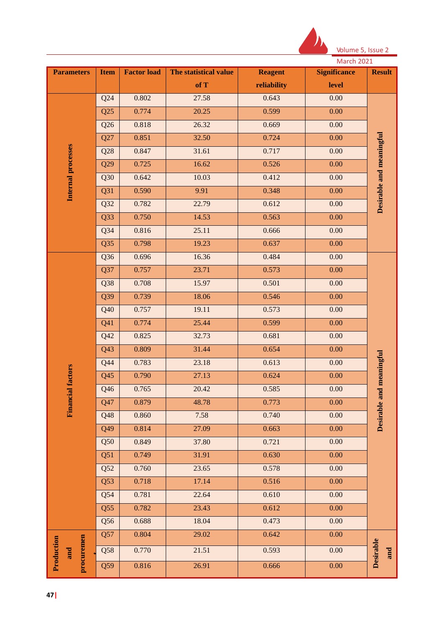

|                          |                 |                    |                       |                | <b>March 2021</b>   |                          |
|--------------------------|-----------------|--------------------|-----------------------|----------------|---------------------|--------------------------|
| <b>Parameters</b>        | <b>Item</b>     | <b>Factor load</b> | The statistical value | <b>Reagent</b> | <b>Significance</b> | <b>Result</b>            |
|                          |                 |                    | of T                  | reliability    | level               |                          |
|                          | Q24             | 0.802              | 27.58                 | 0.643          | 0.00                |                          |
|                          | Q25             | 0.774              | 20.25                 | 0.599          | 0.00                |                          |
|                          | Q26             | 0.818              | 26.32                 | 0.669          | 0.00                |                          |
|                          | Q27             | 0.851              | 32.50                 | 0.724          | 0.00                |                          |
| Internal processes       | Q28             | 0.847              | 31.61                 | 0.717          | 0.00                | Desirable and meaningful |
|                          | Q29             | 0.725              | 16.62                 | 0.526          | 0.00                |                          |
|                          | Q30             | 0.642              | 10.03                 | 0.412          | 0.00                |                          |
|                          | Q31             | 0.590              | 9.91                  | 0.348          | 0.00                |                          |
|                          | Q32             | 0.782              | 22.79                 | 0.612          | 0.00                |                          |
|                          | Q <sub>33</sub> | 0.750              | 14.53                 | 0.563          | 0.00                |                          |
|                          | $Q$ 34          | 0.816              | 25.11                 | 0.666          | 0.00                |                          |
|                          | Q <sub>35</sub> | 0.798              | 19.23                 | 0.637          | 0.00                |                          |
|                          | Q <sub>36</sub> | 0.696              | 16.36                 | 0.484          | 0.00                |                          |
|                          | Q37             | 0.757              | 23.71                 | 0.573          | 0.00                |                          |
|                          | Q <sub>38</sub> | 0.708              | 15.97                 | 0.501          | 0.00                |                          |
|                          | Q39             | 0.739              | 18.06                 | 0.546          | 0.00                |                          |
|                          | Q40             | 0.757              | 19.11                 | 0.573          | 0.00                |                          |
|                          | Q41             | 0.774              | 25.44                 | 0.599          | 0.00                |                          |
|                          | Q42             | 0.825              | 32.73                 | 0.681          | 0.00                |                          |
|                          | Q43             | 0.809              | 31.44                 | 0.654          | 0.00                |                          |
|                          | Q44             | 0.783              | 23.18                 | 0.613          | 0.00                | Desirable and meaningful |
|                          | Q45             | 0.790              | 27.13                 | 0.624          | 0.00                |                          |
|                          | Q46             | 0.765              | 20.42                 | 0.585          | 0.00                |                          |
| <b>Financial factors</b> | Q47             | 0.879              | 48.78                 | 0.773          | 0.00                |                          |
|                          | Q48             | 0.860              | 7.58                  | 0.740          | 0.00                |                          |
|                          | Q49             | 0.814              | 27.09                 | 0.663          | 0.00                |                          |
|                          | Q50             | 0.849              | 37.80                 | 0.721          | 0.00                |                          |
|                          | Q51             | 0.749              | 31.91                 | 0.630          | 0.00                |                          |
|                          | Q52             | 0.760              | 23.65                 | 0.578          | 0.00                |                          |
|                          | Q53             | 0.718              | 17.14                 | 0.516          | 0.00                |                          |
|                          | Q54             | 0.781              | 22.64                 | 0.610          | 0.00                |                          |
|                          | Q55             | 0.782              | 23.43                 | 0.612          | 0.00                |                          |
|                          | Q56             | 0.688              | 18.04                 | 0.473          | 0.00                |                          |
|                          | Q57             | 0.804              | 29.02                 | 0.642          | 0.00                |                          |
| Production<br>and        | Q58             | 0.770              | 21.51                 | 0.593          | 0.00                | Desirable<br>and         |
| procuremen               | Q59             | 0.816              | 26.91                 | 0.666          | 0.00                |                          |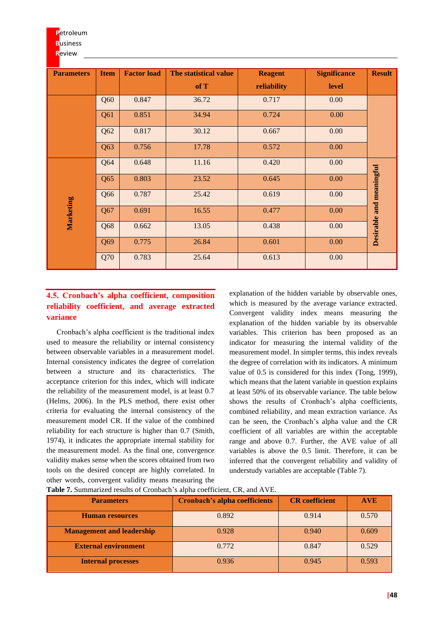| <b>Parameters</b> | <b>Item</b> | <b>Factor load</b> | The statistical value | <b>Reagent</b> | <b>Significance</b> | <b>Result</b>            |
|-------------------|-------------|--------------------|-----------------------|----------------|---------------------|--------------------------|
|                   |             |                    | of T                  | reliability    | <b>level</b>        |                          |
|                   | Q60         | 0.847              | 36.72                 | 0.717          | 0.00                |                          |
|                   | Q61         | 0.851              | 34.94                 | 0.724          | 0.00                |                          |
|                   | Q62         | 0.817              | 30.12                 | 0.667          | 0.00                |                          |
|                   | Q63         | 0.756              | 17.78                 | 0.572          | 0.00                |                          |
|                   | Q64         | 0.648              | 11.16                 | 0.420          | 0.00                |                          |
|                   | Q65         | 0.803              | 23.52                 | 0.645          | 0.00                |                          |
|                   | Q66         | 0.787              | 25.42                 | 0.619          | 0.00                | Desirable and meaningful |
| Marketing         | Q67         | 0.691              | 16.55                 | 0.477          | 0.00                |                          |
|                   | Q68         | 0.662              | 13.05                 | 0.438          | 0.00                |                          |
|                   | Q69         | 0.775              | 26.84                 | 0.601          | 0.00                |                          |
|                   | Q70         | 0.783              | 25.64                 | 0.613          | 0.00                |                          |

# **4.5. Cronbach's alpha coefficient, composition reliability coefficient, and average extracted variance**

Cronbach's alpha coefficient is the traditional index used to measure the reliability or internal consistency between observable variables in a measurement model. Internal consistency indicates the degree of correlation between a structure and its characteristics. The acceptance criterion for this index, which will indicate the reliability of the measurement model, is at least 0.7 (Helms, 2006). In the PLS method, there exist other criteria for evaluating the internal consistency of the measurement model CR. If the value of the combined reliability for each structure is higher than 0.7 (Smith, 1974), it indicates the appropriate internal stability for the measurement model. As the final one, convergence validity makes sense when the scores obtained from two tools on the desired concept are highly correlated. In other words, convergent validity means measuring the

explanation of the hidden variable by observable ones, which is measured by the average variance extracted. Convergent validity index means measuring the explanation of the hidden variable by its observable variables. This criterion has been proposed as an indicator for measuring the internal validity of the measurement model. In simpler terms, this index reveals the degree of correlation with its indicators. A minimum value of 0.5 is considered for this index (Tong, 1999), which means that the latent variable in question explains at least 50% of its observable variance. The table below shows the results of Cronbach's alpha coefficients, combined reliability, and mean extraction variance. As can be seen, the Cronbach's alpha value and the CR coefficient of all variables are within the acceptable range and above 0.7. Further, the AVE value of all variables is above the 0.5 limit. Therefore, it can be inferred that the convergent reliability and validity of understudy variables are acceptable (Table 7).

| <b>Parameters</b>                | <b>Cronbach's alpha coefficients</b> | <b>CR</b> coefficient | <b>AVE</b> |
|----------------------------------|--------------------------------------|-----------------------|------------|
| <b>Human resources</b>           | 0.892                                | 0.914                 | 0.570      |
| <b>Management and leadership</b> | 0.928                                | 0.940                 | 0.609      |
| <b>External environment</b>      | 0.772                                | 0.847                 | 0.529      |
| <b>Internal processes</b>        | 0.936                                | 0.945                 | 0.593      |

**Table 7.** Summarized results of Cronbach's alpha coefficient, CR, and AVE.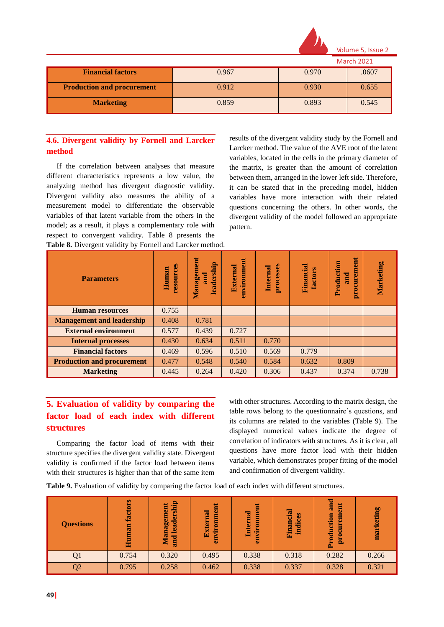

Volume 5, Issue

 $\overline{\phantom{a}1\phantom{a}}$ 

| <b>IVIGILII ZUZI</b>              |       |       |       |  |  |  |  |  |
|-----------------------------------|-------|-------|-------|--|--|--|--|--|
| <b>Financial factors</b>          | 0.967 | 0.970 | .0607 |  |  |  |  |  |
| <b>Production and procurement</b> | 0.912 | 0.930 | 0.655 |  |  |  |  |  |
| <b>Marketing</b>                  | 0.859 | 0.893 | 0.545 |  |  |  |  |  |

# **4.6. Divergent validity by Fornell and Larcker method**

If the correlation between analyses that measure different characteristics represents a low value, the analyzing method has divergent diagnostic validity. Divergent validity also measures the ability of a measurement model to differentiate the observable variables of that latent variable from the others in the model; as a result, it plays a complementary role with respect to convergent validity. Table 8 presents the **Table 8.** Divergent validity by Fornell and Larcker method.

results of the divergent validity study by the Fornell and Larcker method. The value of the AVE root of the latent variables, located in the cells in the primary diameter of the matrix, is greater than the amount of correlation between them, arranged in the lower left side. Therefore, it can be stated that in the preceding model, hidden variables have more interaction with their related questions concerning the others. In other words, the divergent validity of the model followed an appropriate pattern.

| <b>Parameters</b>                 | resources<br>Human | Management<br>leadership<br>and | environment<br>External | processes<br><b>Internal</b> | Financial<br><b>factors</b> | procurement<br>Production<br><b>and</b> | Marketing |
|-----------------------------------|--------------------|---------------------------------|-------------------------|------------------------------|-----------------------------|-----------------------------------------|-----------|
| <b>Human resources</b>            | 0.755              |                                 |                         |                              |                             |                                         |           |
| <b>Management and leadership</b>  | 0.408              | 0.781                           |                         |                              |                             |                                         |           |
| <b>External environment</b>       | 0.577              | 0.439                           | 0.727                   |                              |                             |                                         |           |
| <b>Internal processes</b>         | 0.430              | 0.634                           | 0.511                   | 0.770                        |                             |                                         |           |
| <b>Financial factors</b>          | 0.469              | 0.596                           | 0.510                   | 0.569                        | 0.779                       |                                         |           |
| <b>Production and procurement</b> | 0.477              | 0.548                           | 0.540                   | 0.584                        | 0.632                       | 0.809                                   |           |
| <b>Marketing</b>                  | 0.445              | 0.264                           | 0.420                   | 0.306                        | 0.437                       | 0.374                                   | 0.738     |

# **5. Evaluation of validity by comparing the factor load of each index with different structures**

Comparing the factor load of items with their structure specifies the divergent validity state. Divergent validity is confirmed if the factor load between items with their structures is higher than that of the same item

with other structures. According to the matrix design, the table rows belong to the questionnaire's questions, and its columns are related to the variables (Table 9). The displayed numerical values indicate the degree of correlation of indicators with structures. As it is clear, all questions have more factor load with their hidden variable, which demonstrates proper fitting of the model and confirmation of divergent validity.

**Table 9.** Evaluation of validity by comparing the factor load of each index with different structures.

| <b>Questions</b> | Ø<br>ā<br><b>fact</b><br>uman<br>量 | leadership<br>Management<br>and | Ħ<br>environme<br>External | Ħ<br>vironme<br><b>Internal</b><br>ā | Financial<br>ces<br><b>Indi</b> | and<br>procurement<br>Production | marketing |
|------------------|------------------------------------|---------------------------------|----------------------------|--------------------------------------|---------------------------------|----------------------------------|-----------|
|                  | 0.754                              | 0.320                           | 0.495                      | 0.338                                | 0.318                           | 0.282                            | 0.266     |
| Q2               | 0.795                              | 0.258                           | 0.462                      | 0.338                                | 0.337                           | 0.328                            | 0.321     |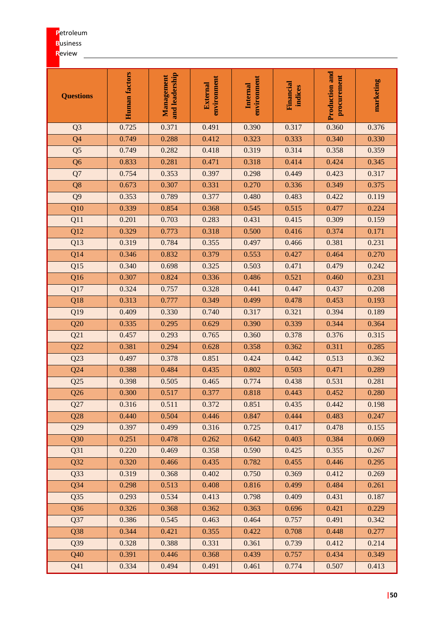# **P**etroleum

**B**usiness

# **R**eview

| <b>Questions</b> | Human factors | and leadership<br>Management | environment<br>External | environment<br><b>Internal</b> | Financial<br>indices | <b>Production and</b><br>procurement | marketing |
|------------------|---------------|------------------------------|-------------------------|--------------------------------|----------------------|--------------------------------------|-----------|
| Q <sub>3</sub>   | 0.725         | 0.371                        | 0.491                   | 0.390                          | 0.317                | 0.360                                | 0.376     |
| Q <sub>4</sub>   | 0.749         | 0.288                        | 0.412                   | 0.323                          | 0.333                | 0.340                                | 0.330     |
| Q <sub>5</sub>   | 0.749         | 0.282                        | 0.418                   | 0.319                          | 0.314                | 0.358                                | 0.359     |
| Q <sub>6</sub>   | 0.833         | 0.281                        | 0.471                   | 0.318                          | 0.414                | 0.424                                | 0.345     |
| Q7               | 0.754         | 0.353                        | 0.397                   | 0.298                          | 0.449                | 0.423                                | 0.317     |
| Q8               | 0.673         | 0.307                        | 0.331                   | 0.270                          | 0.336                | 0.349                                | 0.375     |
| Q <sub>9</sub>   | 0.353         | 0.789                        | 0.377                   | 0.480                          | 0.483                | 0.422                                | 0.119     |
| $\overline{Q10}$ | 0.339         | 0.854                        | 0.368                   | 0.545                          | 0.515                | 0.477                                | 0.224     |
| Q11              | 0.201         | 0.703                        | 0.283                   | 0.431                          | 0.415                | 0.309                                | 0.159     |
| Q12              | 0.329         | 0.773                        | 0.318                   | 0.500                          | 0.416                | 0.374                                | 0.171     |
| Q13              | 0.319         | 0.784                        | 0.355                   | 0.497                          | 0.466                | 0.381                                | 0.231     |
| Q14              | 0.346         | 0.832                        | 0.379                   | 0.553                          | 0.427                | 0.464                                | 0.270     |
| Q15              | 0.340         | 0.698                        | 0.325                   | 0.503                          | 0.471                | 0.479                                | 0.242     |
| Q16              | 0.307         | 0.824                        | 0.336                   | 0.486                          | 0.521                | 0.460                                | 0.231     |
| Q17              | 0.324         | 0.757                        | 0.328                   | 0.441                          | 0.447                | 0.437                                | 0.208     |
| Q18              | 0.313         | 0.777                        | 0.349                   | 0.499                          | 0.478                | 0.453                                | 0.193     |
| Q19              | 0.409         | 0.330                        | 0.740                   | 0.317                          | 0.321                | 0.394                                | 0.189     |
| Q20              | 0.335         | 0.295                        | 0.629                   | 0.390                          | 0.339                | 0.344                                | 0.364     |
| Q21              | 0.457         | 0.293                        | 0.765                   | 0.360                          | 0.378                | 0.376                                | 0.315     |
| Q22              | 0.381         | 0.294                        | 0.628                   | 0.358                          | 0.362                | 0.311                                | 0.285     |
| Q23              | 0.497         | 0.378                        | 0.851                   | 0.424                          | 0.442                | 0.513                                | 0.362     |
| Q24              | 0.388         | 0.484                        | 0.435                   | 0.802                          | 0.503                | 0.471                                | 0.289     |
| Q25              | 0.398         | 0.505                        | 0.465                   | 0.774                          | 0.438                | 0.531                                | 0.281     |
| Q26              | 0.300         | 0.517                        | 0.377                   | 0.818                          | 0.443                | 0.452                                | 0.280     |
| Q27              | 0.316         | 0.511                        | 0.372                   | 0.851                          | 0.435                | 0.442                                | 0.198     |
| Q28              | 0.440         | 0.504                        | 0.446                   | 0.847                          | 0.444                | 0.483                                | 0.247     |
| Q29              | 0.397         | 0.499                        | 0.316                   | 0.725                          | 0.417                | 0.478                                | 0.155     |
| Q30              | 0.251         | 0.478                        | 0.262                   | 0.642                          | 0.403                | 0.384                                | 0.069     |
| Q31              | 0.220         | 0.469                        | 0.358                   | 0.590                          | 0.425                | 0.355                                | 0.267     |
| Q32              | 0.320         | 0.466                        | 0.435                   | 0.782                          | 0.455                | 0.446                                | 0.295     |
| Q33              | 0.319         | 0.368                        | 0.402                   | 0.750                          | 0.369                | 0.412                                | 0.269     |
| Q34              | 0.298         | 0.513                        | 0.408                   | 0.816                          | 0.499                | 0.484                                | 0.261     |
| Q35              | 0.293         | 0.534                        | 0.413                   | 0.798                          | 0.409                | 0.431                                | 0.187     |
| Q36              | 0.326         | 0.368                        | 0.362                   | 0.363                          | 0.696                | 0.421                                | 0.229     |
| Q37              | 0.386         | 0.545                        | 0.463                   | 0.464                          | 0.757                | 0.491                                | 0.342     |
| Q38              | 0.344         | 0.421                        | 0.355                   | 0.422                          | 0.708                | 0.448                                | 0.277     |
| Q39              | 0.328         | 0.388                        | 0.331                   | 0.361                          | 0.739                | 0.412                                | 0.214     |
| Q40              | 0.391         | 0.446                        | 0.368                   | 0.439                          | 0.757                | 0.434                                | 0.349     |
| Q41              | 0.334         | 0.494                        | 0.491                   | 0.461                          | 0.774                | 0.507                                | 0.413     |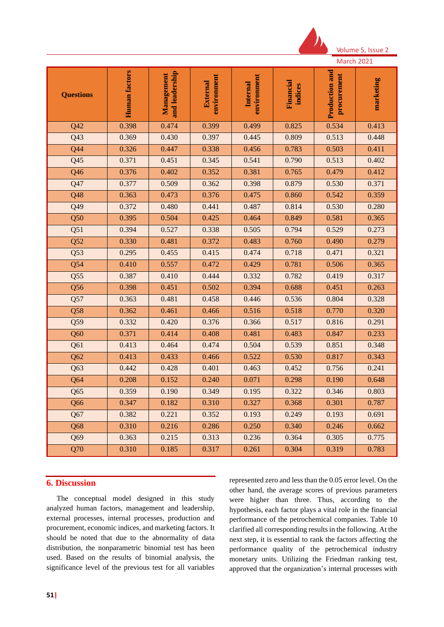

Volume 5, Issue

|                  |               |                              |                         |                         |                      | <b>March 2021</b>             |           |
|------------------|---------------|------------------------------|-------------------------|-------------------------|----------------------|-------------------------------|-----------|
| <b>Questions</b> | Human factors | and leadership<br>Management | environment<br>External | environment<br>Internal | Financial<br>indices | Production and<br>procurement | marketing |
| Q42              | 0.398         | 0.474                        | 0.399                   | 0.499                   | 0.825                | 0.534                         | 0.413     |
| Q <sub>43</sub>  | 0.369         | 0.430                        | 0.397                   | 0.445                   | 0.809                | 0.513                         | 0.448     |
| Q44              | 0.326         | 0.447                        | 0.338                   | 0.456                   | 0.783                | 0.503                         | 0.411     |
| Q45              | 0.371         | 0.451                        | 0.345                   | 0.541                   | 0.790                | 0.513                         | 0.402     |
| Q46              | 0.376         | 0.402                        | 0.352                   | 0.381                   | 0.765                | 0.479                         | 0.412     |
| Q47              | 0.377         | 0.509                        | 0.362                   | 0.398                   | 0.879                | 0.530                         | 0.371     |
| Q48              | 0.363         | 0.473                        | 0.376                   | 0.475                   | 0.860                | 0.542                         | 0.359     |
| Q49              | 0.372         | 0.480                        | 0.441                   | 0.487                   | 0.814                | 0.530                         | 0.280     |
| Q50              | 0.395         | 0.504                        | 0.425                   | 0.464                   | 0.849                | 0.581                         | 0.365     |
| Q51              | 0.394         | 0.527                        | 0.338                   | 0.505                   | 0.794                | 0.529                         | 0.273     |
| Q52              | 0.330         | 0.481                        | 0.372                   | 0.483                   | 0.760                | 0.490                         | 0.279     |
| Q53              | 0.295         | 0.455                        | 0.415                   | 0.474                   | 0.718                | 0.471                         | 0.321     |
| Q54              | 0.410         | 0.557                        | 0.472                   | 0.429                   | 0.781                | 0.506                         | 0.365     |
| Q55              | 0.387         | 0.410                        | 0.444                   | 0.332                   | 0.782                | 0.419                         | 0.317     |
| Q56              | 0.398         | 0.451                        | 0.502                   | 0.394                   | 0.688                | 0.451                         | 0.263     |
| Q57              | 0.363         | 0.481                        | 0.458                   | 0.446                   | 0.536                | 0.804                         | 0.328     |
| Q58              | 0.362         | 0.461                        | 0.466                   | 0.516                   | 0.518                | 0.770                         | 0.320     |
| Q59              | 0.332         | 0.420                        | 0.376                   | 0.366                   | 0.517                | 0.816                         | 0.291     |
| Q60              | 0.371         | 0.414                        | 0.408                   | 0.481                   | 0.483                | 0.847                         | 0.233     |
| Q61              | 0.413         | 0.464                        | 0.474                   | 0.504                   | 0.539                | 0.851                         | 0.348     |
| Q <sub>62</sub>  | 0.413         | 0.433                        | 0.466                   | 0.522                   | 0.530                | 0.817                         | 0.343     |
| Q63              | 0.442         | 0.428                        | 0.401                   | 0.463                   | 0.452                | 0.756                         | 0.241     |
| Q64              | 0.208         | 0.152                        | 0.240                   | 0.071                   | 0.298                | 0.190                         | 0.648     |
| Q65              | 0.359         | 0.190                        | 0.349                   | 0.195                   | 0.322                | 0.346                         | 0.803     |
| Q66              | 0.347         | 0.182                        | 0.310                   | 0.327                   | 0.368                | 0.301                         | 0.787     |
| Q67              | 0.382         | 0.221                        | 0.352                   | 0.193                   | 0.249                | 0.193                         | 0.691     |
| Q68              | 0.310         | 0.216                        | 0.286                   | 0.250                   | 0.340                | 0.246                         | 0.662     |
| Q69              | 0.363         | 0.215                        | 0.313                   | 0.236                   | 0.364                | 0.305                         | 0.775     |
| Q70              | 0.310         | 0.185                        | 0.317                   | 0.261                   | 0.304                | 0.319                         | 0.783     |

# **6. Discussion**

The conceptual model designed in this study analyzed human factors, management and leadership, external processes, internal processes, production and procurement, economic indices, and marketing factors. It should be noted that due to the abnormality of data distribution, the nonparametric binomial test has been used. Based on the results of binomial analysis, the significance level of the previous test for all variables represented zero and less than the 0.05 error level. On the other hand, the average scores of previous parameters were higher than three. Thus, according to the hypothesis, each factor plays a vital role in the financial performance of the petrochemical companies. Table 10 clarified all corresponding results in the following. At the next step, it is essential to rank the factors affecting the performance quality of the petrochemical industry monetary units. Utilizing the Friedman ranking test, approved that the organization's internal processes with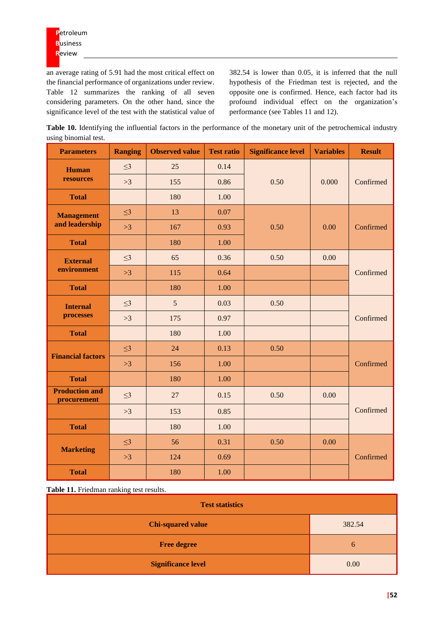an average rating of 5.91 had the most critical effect on the financial performance of organizations under review. Table 12 summarizes the ranking of all seven considering parameters. On the other hand, since the significance level of the test with the statistical value of 382.54 is lower than 0.05, it is inferred that the null hypothesis of the Friedman test is rejected, and the opposite one is confirmed. Hence, each factor had its profound individual effect on the organization's performance (see Tables 11 and 12).

**Table 10.** Identifying the influential factors in the performance of the monetary unit of the petrochemical industry using binomial test.

| <b>Parameters</b>                    | <b>Ranging</b> | <b>Observed value</b> | <b>Test ratio</b> | <b>Significance level</b><br><b>Variables</b> |       | <b>Result</b> |  |
|--------------------------------------|----------------|-----------------------|-------------------|-----------------------------------------------|-------|---------------|--|
| <b>Human</b>                         | $\leq$ 3       | 25                    | 0.14              |                                               |       |               |  |
| resources                            | >3             | 155                   | 0.86              | 0.50                                          | 0.000 | Confirmed     |  |
| <b>Total</b>                         |                | 180                   | 1.00              |                                               |       |               |  |
| <b>Management</b>                    | $\leq$ 3       | 13                    | 0.07              |                                               |       |               |  |
| and leadership                       | >3             | 167                   | 0.93              | 0.50                                          | 0.00  | Confirmed     |  |
| <b>Total</b>                         |                | 180                   | 1.00              |                                               |       |               |  |
| <b>External</b>                      | $\leq$ 3       | 65                    | 0.36              | 0.50                                          | 0.00  |               |  |
| environment                          | >3             | 115                   | 0.64              |                                               |       | Confirmed     |  |
| <b>Total</b>                         |                | 180                   | 1.00              |                                               |       |               |  |
| <b>Internal</b>                      | $\leq$ 3       | 5                     | 0.03              | 0.50                                          |       |               |  |
| processes                            | >3             | 175                   | 0.97              |                                               |       | Confirmed     |  |
| <b>Total</b>                         |                | 180                   | 1.00              |                                               |       |               |  |
| <b>Financial factors</b>             | $\leq$ 3       | 24                    | 0.13              | 0.50                                          |       |               |  |
|                                      | >3             | 156                   | 1.00              |                                               |       | Confirmed     |  |
| <b>Total</b>                         |                | 180                   | 1.00              |                                               |       |               |  |
| <b>Production and</b><br>procurement | $\leq$ 3       | 27                    | 0.15              | 0.50<br>0.00                                  |       |               |  |
|                                      | >3             | 153                   | 0.85              |                                               |       | Confirmed     |  |
| <b>Total</b>                         |                | 180                   | 1.00              |                                               |       |               |  |
| <b>Marketing</b>                     | $\leq$ 3       | 56                    | 0.31              | 0.50                                          | 0.00  |               |  |
|                                      | >3             | 124                   | 0.69              |                                               |       | Confirmed     |  |
| <b>Total</b>                         |                | 180                   | 1.00              |                                               |       |               |  |

**Table 11.** Friedman ranking test results.

| <b>Test statistics</b>    |        |  |  |  |  |  |
|---------------------------|--------|--|--|--|--|--|
| <b>Chi-squared value</b>  | 382.54 |  |  |  |  |  |
| <b>Free degree</b>        | 6      |  |  |  |  |  |
| <b>Significance level</b> | 0.00   |  |  |  |  |  |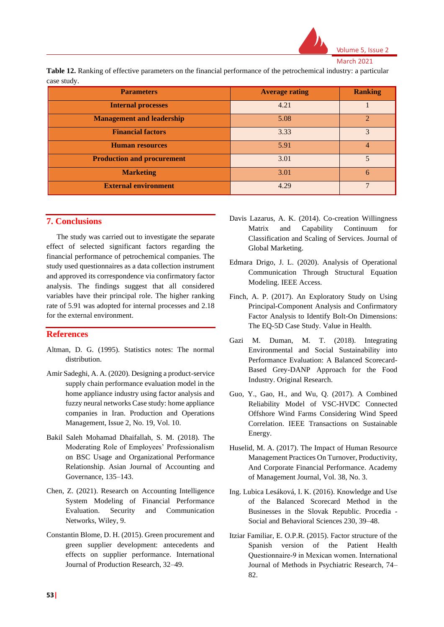

**Table 12.** Ranking of effective parameters on the financial performance of the petrochemical industry: a particular case study.

| <b>Parameters</b>                 | <b>Average rating</b> | <b>Ranking</b> |
|-----------------------------------|-----------------------|----------------|
| <b>Internal processes</b>         | 4.21                  |                |
| <b>Management and leadership</b>  | 5.08                  | $\mathfrak{D}$ |
| <b>Financial factors</b>          | 3.33                  | $\mathcal{R}$  |
| <b>Human resources</b>            | 5.91                  | 4              |
| <b>Production and procurement</b> | 3.01                  |                |
| <b>Marketing</b>                  | 3.01                  | 6              |
| <b>External environment</b>       | 4.29                  | $\mathcal{I}$  |

# **7. Conclusions**

The study was carried out to investigate the separate effect of selected significant factors regarding the financial performance of petrochemical companies. The study used questionnaires as a data collection instrument and approved its correspondence via confirmatory factor analysis. The findings suggest that all considered variables have their principal role. The higher ranking rate of 5.91 was adopted for internal processes and 2.18 for the external environment.

### **References**

- Altman, D. G. (1995). Statistics notes: The normal distribution.
- Amir Sadeghi, A. A. (2020). Designing a product-service supply chain performance evaluation model in the home appliance industry using factor analysis and fuzzy neural networks Case study: home appliance companies in Iran. Production and Operations Management, Issue 2, No. 19, Vol. 10.
- Bakil Saleh Mohamad Dhaifallah, S. M. (2018). The Moderating Role of Employees' Professionalism on BSC Usage and Organizational Performance Relationship. Asian Journal of Accounting and Governance, 135–143.
- Chen, Z. (2021). Research on Accounting Intelligence System Modeling of Financial Performance Evaluation. Security and Communication Networks, Wiley, 9.
- Constantin Blome, D. H. (2015). Green procurement and green supplier development: antecedents and effects on supplier performance. International Journal of Production Research, 32–49.
- Davis Lazarus, A. K. (2014). Co-creation Willingness Matrix and Capability Continuum for Classification and Scaling of Services. Journal of Global Marketing.
- Edmara Drigo, J. L. (2020). Analysis of Operational Communication Through Structural Equation Modeling. IEEE Access.
- Finch, A. P. (2017). An Exploratory Study on Using Principal-Component Analysis and Confirmatory Factor Analysis to Identify Bolt-On Dimensions: The EQ-5D Case Study. Value in Health.
- Gazi M. Duman, M. T. (2018). Integrating Environmental and Social Sustainability into Performance Evaluation: A Balanced Scorecard-Based Grey-DANP Approach for the Food Industry. Original Research.
- Guo, Y., Gao, H., and Wu, Q. (2017). A Combined Reliability Model of VSC-HVDC Connected Offshore Wind Farms Considering Wind Speed Correlation. IEEE Transactions on Sustainable Energy.
- Huselid, M. A. (2017). The Impact of Human Resource Management Practices On Turnover, Productivity, And Corporate Financial Performance. Academy of Management Journal, Vol. 38, No. 3.
- Ing. Lubica Lesáková, I. K. (2016). Knowledge and Use of the Balanced Scorecard Method in the Businesses in the Slovak Republic. Procedia - Social and Behavioral Sciences 230, 39–48.
- Itziar Familiar, E. O.P.R. (2015). Factor structure of the Spanish version of the Patient Health Questionnaire‐9 in Mexican women. International Journal of Methods in Psychiatric Research, 74– 82.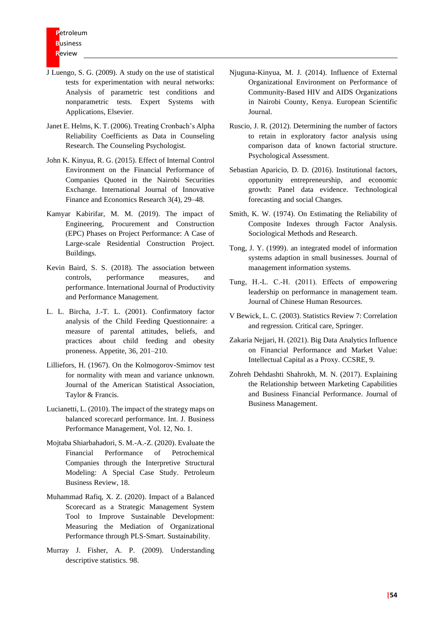- J Luengo, S. G. (2009). A study on the use of statistical tests for experimentation with neural networks: Analysis of parametric test conditions and nonparametric tests. Expert Systems with Applications, Elsevier.
- Janet E. Helms, K. T. (2006). Treating Cronbach's Alpha Reliability Coefficients as Data in Counseling Research. The Counseling Psychologist.
- John K. Kinyua, R. G. (2015). Effect of Internal Control Environment on the Financial Performance of Companies Quoted in the Nairobi Securities Exchange. International Journal of Innovative Finance and Economics Research 3(4), 29–48.
- Kamyar Kabirifar, M. M. (2019). The impact of Engineering, Procurement and Construction (EPC) Phases on Project Performance: A Case of Large-scale Residential Construction Project. Buildings.
- Kevin Baird, S. S. (2018). The association between controls, performance measures, and performance. International Journal of Productivity and Performance Management.
- L. L. Bircha, J.-T. L. (2001). Confirmatory factor analysis of the Child Feeding Questionnaire: a measure of parental attitudes, beliefs, and practices about child feeding and obesity proneness. Appetite, 36, 201–210.
- Lilliefors, H. (1967). On the Kolmogorov-Smirnov test for normality with mean and variance unknown. Journal of the American Statistical Association, Taylor & Francis.
- Lucianetti, L. (2010). The impact of the strategy maps on balanced scorecard performance. Int. J. Business Performance Management, Vol. 12, No. 1.
- Mojtaba Shiarbahadori, S. M.-A.-Z. (2020). Evaluate the Financial Performance of Petrochemical Companies through the Interpretive Structural Modeling: A Special Case Study. Petroleum Business Review, 18.
- Muhammad Rafiq, X. Z. (2020). Impact of a Balanced Scorecard as a Strategic Management System Tool to Improve Sustainable Development: Measuring the Mediation of Organizational Performance through PLS-Smart. Sustainability.
- Murray J. Fisher, A. P. (2009). Understanding descriptive statistics. 98.
- Njuguna-Kinyua, M. J. (2014). Influence of External Organizational Environment on Performance of Community-Based HIV and AIDS Organizations in Nairobi County, Kenya. European Scientific Journal.
- Ruscio, J. R. (2012). Determining the number of factors to retain in exploratory factor analysis using comparison data of known factorial structure. Psychological Assessment.
- Sebastian Aparicio, D. D. (2016). Institutional factors, opportunity entrepreneurship, and economic growth: Panel data evidence. Technological forecasting and social Changes.
- Smith, K. W. (1974). On Estimating the Reliability of Composite Indexes through Factor Analysis. Sociological Methods and Research.
- Tong, J. Y. (1999). an integrated model of information systems adaption in small businesses. Journal of management information systems.
- Tung, H.‐L. C.‐H. (2011). Effects of empowering leadership on performance in management team. Journal of Chinese Human Resources.
- V Bewick, L. C. (2003). Statistics Review 7: Correlation and regression. Critical care, Springer.
- Zakaria Nejjari, H. (2021). Big Data Analytics Influence on Financial Performance and Market Value: Intellectual Capital as a Proxy. CCSRE, 9.
- Zohreh Dehdashti Shahrokh, M. N. (2017). Explaining the Relationship between Marketing Capabilities and Business Financial Performance. Journal of Business Management.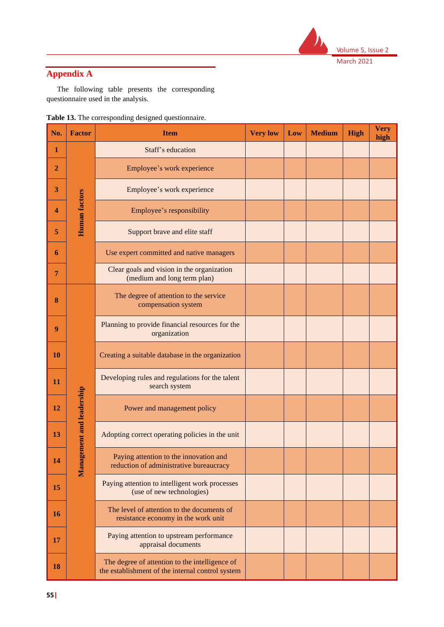

# **Appendix A**

The following table presents the corresponding questionnaire used in the analysis.

| Table 13. The corresponding designed questionnaire. |
|-----------------------------------------------------|
|-----------------------------------------------------|

| No.            | <b>Factor</b>             | <b>Item</b>                                                                                        | <b>Very low</b> | Low | <b>Medium</b> | <b>High</b> | <b>Very</b><br>high |
|----------------|---------------------------|----------------------------------------------------------------------------------------------------|-----------------|-----|---------------|-------------|---------------------|
| $\mathbf{1}$   |                           | Staff's education                                                                                  |                 |     |               |             |                     |
| $\overline{2}$ |                           | Employee's work experience                                                                         |                 |     |               |             |                     |
| 3              |                           | Employee's work experience                                                                         |                 |     |               |             |                     |
| 4              | Human factors             | Employee's responsibility                                                                          |                 |     |               |             |                     |
| 5              |                           | Support brave and elite staff                                                                      |                 |     |               |             |                     |
| 6              |                           | Use expert committed and native managers                                                           |                 |     |               |             |                     |
| 7              |                           | Clear goals and vision in the organization<br>(medium and long term plan)                          |                 |     |               |             |                     |
| 8              |                           | The degree of attention to the service<br>compensation system                                      |                 |     |               |             |                     |
| 9              |                           | Planning to provide financial resources for the<br>organization                                    |                 |     |               |             |                     |
| <b>10</b>      |                           | Creating a suitable database in the organization                                                   |                 |     |               |             |                     |
| 11             |                           | Developing rules and regulations for the talent<br>search system                                   |                 |     |               |             |                     |
| 12             |                           | Power and management policy                                                                        |                 |     |               |             |                     |
| 13             |                           | Adopting correct operating policies in the unit                                                    |                 |     |               |             |                     |
| 14             | Management and leadership | Paying attention to the innovation and<br>reduction of administrative bureaucracy                  |                 |     |               |             |                     |
| 15             |                           | Paying attention to intelligent work processes<br>(use of new technologies)                        |                 |     |               |             |                     |
| <b>16</b>      |                           | The level of attention to the documents of<br>resistance economy in the work unit                  |                 |     |               |             |                     |
| 17             |                           | Paying attention to upstream performance<br>appraisal documents                                    |                 |     |               |             |                     |
| 18             |                           | The degree of attention to the intelligence of<br>the establishment of the internal control system |                 |     |               |             |                     |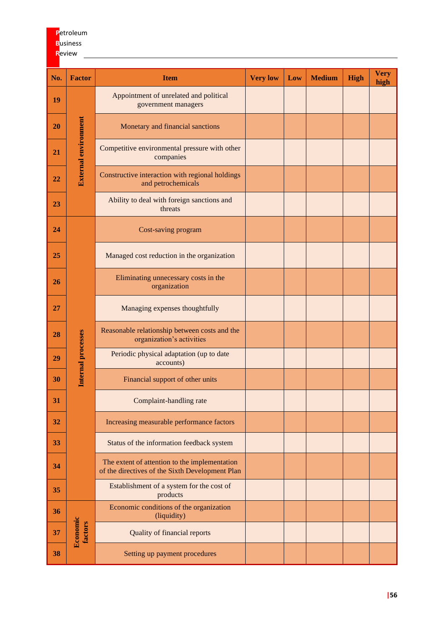# **P**etroleum **B**usiness **R**eview

| No. | <b>Factor</b>               | <b>Item</b>                                                                                      | <b>Very low</b> | Low | <b>Medium</b> | <b>High</b> | <b>Very</b><br>high |
|-----|-----------------------------|--------------------------------------------------------------------------------------------------|-----------------|-----|---------------|-------------|---------------------|
| 19  |                             | Appointment of unrelated and political<br>government managers                                    |                 |     |               |             |                     |
| 20  |                             | Monetary and financial sanctions                                                                 |                 |     |               |             |                     |
| 21  | <b>External environment</b> | Competitive environmental pressure with other<br>companies                                       |                 |     |               |             |                     |
| 22  |                             | Constructive interaction with regional holdings<br>and petrochemicals                            |                 |     |               |             |                     |
| 23  |                             | Ability to deal with foreign sanctions and<br>threats                                            |                 |     |               |             |                     |
| 24  |                             | Cost-saving program                                                                              |                 |     |               |             |                     |
| 25  |                             | Managed cost reduction in the organization                                                       |                 |     |               |             |                     |
| 26  |                             | Eliminating unnecessary costs in the<br>organization                                             |                 |     |               |             |                     |
| 27  |                             | Managing expenses thoughtfully                                                                   |                 |     |               |             |                     |
| 28  |                             | Reasonable relationship between costs and the<br>organization's activities                       |                 |     |               |             |                     |
| 29  | Internal processes          | Periodic physical adaptation (up to date<br>accounts)                                            |                 |     |               |             |                     |
| 30  |                             | Financial support of other units                                                                 |                 |     |               |             |                     |
| 31  |                             | Complaint-handling rate                                                                          |                 |     |               |             |                     |
| 32  |                             | Increasing measurable performance factors                                                        |                 |     |               |             |                     |
| 33  |                             | Status of the information feedback system                                                        |                 |     |               |             |                     |
| 34  |                             | The extent of attention to the implementation<br>of the directives of the Sixth Development Plan |                 |     |               |             |                     |
| 35  |                             | Establishment of a system for the cost of<br>products                                            |                 |     |               |             |                     |
| 36  |                             | Economic conditions of the organization<br>(liquidity)                                           |                 |     |               |             |                     |
| 37  | Economic<br>factors         | <b>Quality of financial reports</b>                                                              |                 |     |               |             |                     |
| 38  |                             | Setting up payment procedures                                                                    |                 |     |               |             |                     |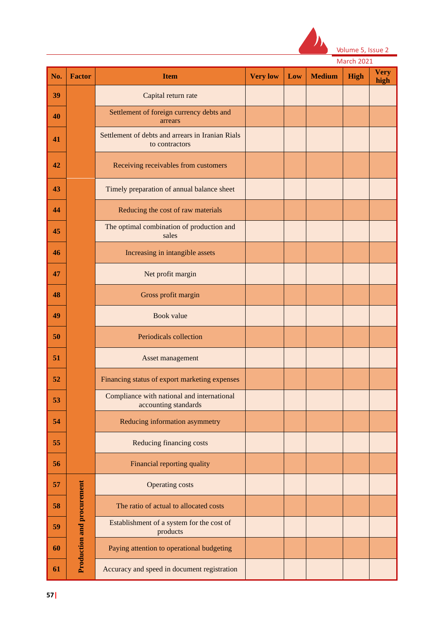

|  | Volume 5, Issue 2 |  |
|--|-------------------|--|
|  |                   |  |

|  | March 2021 |  |
|--|------------|--|
|  |            |  |

| No. | <b>Factor</b>                     | <b>Item</b>                                                        | <b>Very low</b> | Low | <b>Medium</b> | High | <b>Very</b><br>high |
|-----|-----------------------------------|--------------------------------------------------------------------|-----------------|-----|---------------|------|---------------------|
| 39  |                                   | Capital return rate                                                |                 |     |               |      |                     |
| 40  |                                   | Settlement of foreign currency debts and<br>arrears                |                 |     |               |      |                     |
| 41  |                                   | Settlement of debts and arrears in Iranian Rials<br>to contractors |                 |     |               |      |                     |
| 42  |                                   | Receiving receivables from customers                               |                 |     |               |      |                     |
| 43  |                                   | Timely preparation of annual balance sheet                         |                 |     |               |      |                     |
| 44  |                                   | Reducing the cost of raw materials                                 |                 |     |               |      |                     |
| 45  |                                   | The optimal combination of production and<br>sales                 |                 |     |               |      |                     |
| 46  |                                   | Increasing in intangible assets                                    |                 |     |               |      |                     |
| 47  |                                   | Net profit margin                                                  |                 |     |               |      |                     |
| 48  |                                   | Gross profit margin                                                |                 |     |               |      |                     |
| 49  |                                   | Book value                                                         |                 |     |               |      |                     |
| 50  |                                   | Periodicals collection                                             |                 |     |               |      |                     |
| 51  |                                   | Asset management                                                   |                 |     |               |      |                     |
| 52  |                                   | Financing status of export marketing expenses                      |                 |     |               |      |                     |
| 53  |                                   | Compliance with national and international<br>accounting standards |                 |     |               |      |                     |
| 54  |                                   | Reducing information asymmetry                                     |                 |     |               |      |                     |
| 55  |                                   | Reducing financing costs                                           |                 |     |               |      |                     |
| 56  |                                   | Financial reporting quality                                        |                 |     |               |      |                     |
| 57  |                                   | <b>Operating costs</b>                                             |                 |     |               |      |                     |
| 58  |                                   | The ratio of actual to allocated costs                             |                 |     |               |      |                     |
| 59  | <b>Production and procurement</b> | Establishment of a system for the cost of<br>products              |                 |     |               |      |                     |
| 60  |                                   | Paying attention to operational budgeting                          |                 |     |               |      |                     |
| 61  |                                   | Accuracy and speed in document registration                        |                 |     |               |      |                     |